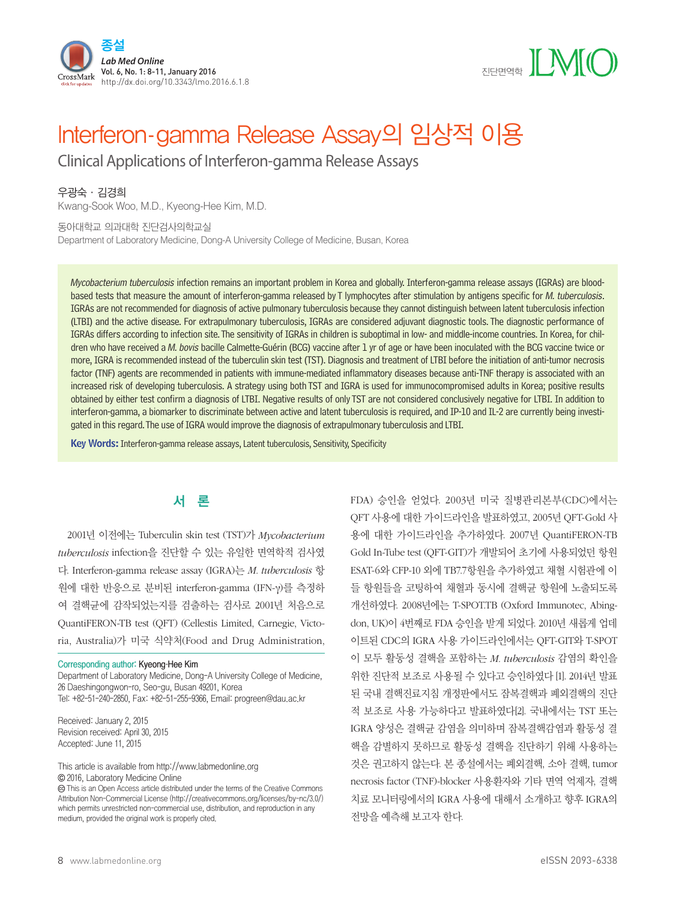



# Interferon-gamma Release Assay의 임상적 이용

Clinical Applications of Interferon-gamma Release Assays

우광숙·김경희

Kwang-Sook Woo, M.D., Kyeong-Hee Kim, M.D.

#### 동아대학교 의과대학 진단검사의학교실

Department of Laboratory Medicine, Dong-A University College of Medicine, Busan, Korea

Mycobacterium tuberculosis infection remains an important problem in Korea and globally. Interferon-gamma release assays (IGRAs) are bloodbased tests that measure the amount of interferon-gamma released by T lymphocytes after stimulation by antigens specific for M. tuberculosis. IGRAs are not recommended for diagnosis of active pulmonary tuberculosis because they cannot distinguish between latent tuberculosis infection (LTBI) and the active disease. For extrapulmonary tuberculosis, IGRAs are considered adjuvant diagnostic tools. The diagnostic performance of IGRAs differs according to infection site. The sensitivity of IGRAs in children is suboptimal in low- and middle-income countries. In Korea, for children who have received a M. bovis bacille Calmette-Guérin (BCG) vaccine after 1 yr of age or have been inoculated with the BCG vaccine twice or more, IGRA is recommended instead of the tuberculin skin test (TST). Diagnosis and treatment of LTBI before the initiation of anti-tumor necrosis factor (TNF) agents are recommended in patients with immune-mediated inflammatory diseases because anti-TNF therapy is associated with an increased risk of developing tuberculosis. A strategy using both TST and IGRA is used for immunocompromised adults in Korea; positive results obtained by either test confirm a diagnosis of LTBI. Negative results of only TST are not considered conclusively negative for LTBI. In addition to interferon-gamma, a biomarker to discriminate between active and latent tuberculosis is required, and IP-10 and IL-2 are currently being investigated in this regard. The use of IGRA would improve the diagnosis of extrapulmonary tuberculosis and LTBI.

Key Words: Interferon-gamma release assays, Latent tuberculosis, Sensitivity, Specificity

# 서 론

2001년 이전에는 Tuberculin skin test (TST)가 *Mycobacterium tuberculosis* infection을 진단할 수 있는 유일한 면역학적 검사였 다. Interferon-gamma release assay (IGRA)는 *M. tuberculosis* 항 원에 대한 반응으로 분비된 interferon-gamma (IFN-γ)를 측정하 여 결핵균에 감작되었는지를 검출하는 검사로 2001년 처음으로 QuantiFERON-TB test (QFT) (Cellestis Limited, Carnegie, Victoria, Australia)가 미국 식약처(Food and Drug Administration,

#### Corresponding author: Kyeong-Hee Kim

Department of Laboratory Medicine, Dong-A University College of Medicine, 26 Daeshingongwon-ro, Seo-gu, Busan 49201, Korea Tel: +82-51-240-2850, Fax: +82-51-255-9366, Email: progreen@dau.ac.kr

Received: January 2, 2015 Revision received: April 30, 2015 Accepted: June 11, 2015

This article is available from http://www.labmedonline.org 2016, Laboratory Medicine Online

 This is an Open Access article distributed under the terms of the Creative Commons Attribution Non-Commercial License (http://creativecommons.org/licenses/by-nc/3.0/) which permits unrestricted non-commercial use, distribution, and reproduction in any medium, provided the original work is properly cited.

FDA) 승인을 얻었다. 2003년 미국 질병관리본부(CDC)에서는 QFT 사용에 대한 가이드라인을 발표하였고, 2005년 QFT-Gold 사 용에 대한 가이드라인을 추가하였다. 2007년 QuantiFERON-TB Gold In-Tube test (QFT-GIT)가 개발되어 초기에 사용되었던 항원 ESAT-6와 CFP-10 외에 TB7.7항원을 추가하였고 채혈 시험관에 이 들 항원들을 코팅하여 채혈과 동시에 결핵균 항원에 노출되도록 개선하였다. 2008년에는 T-SPOT.TB (Oxford Immunotec, Abingdon, UK)이 4번째로 FDA 승인을 받게 되었다. 2010년 새롭게 업데 이트된 CDC의 IGRA 사용 가이드라인에서는 QFT-GIT와 T-SPOT 이 모두 활동성 결핵을 포함하는 *M. tuberculosis* 감염의 확인을 위한 진단적 보조로 사용될 수 있다고 승인하였다 [1]. 2014년 발표 된 국내 결핵진료지침 개정판에서도 잠복결핵과 폐외결핵의 진단 적 보조로 사용 가능하다고 발표하였다[2]. 국내에서는 TST 또는 IGRA 양성은 결핵균 감염을 의미하며 잠복결핵감염과 활동성 결 핵을 감별하지 못하므로 활동성 결핵을 진단하기 위해 사용하는 것은 권고하지 않는다. 본 종설에서는 폐외결핵, 소아 결핵, tumor necrosis factor (TNF)-blocker 사용환자와 기타 면역 억제자, 결핵 치료 모니터링에서의 IGRA 사용에 대해서 소개하고 향후 IGRA의 전망을 예측해 보고자 한다.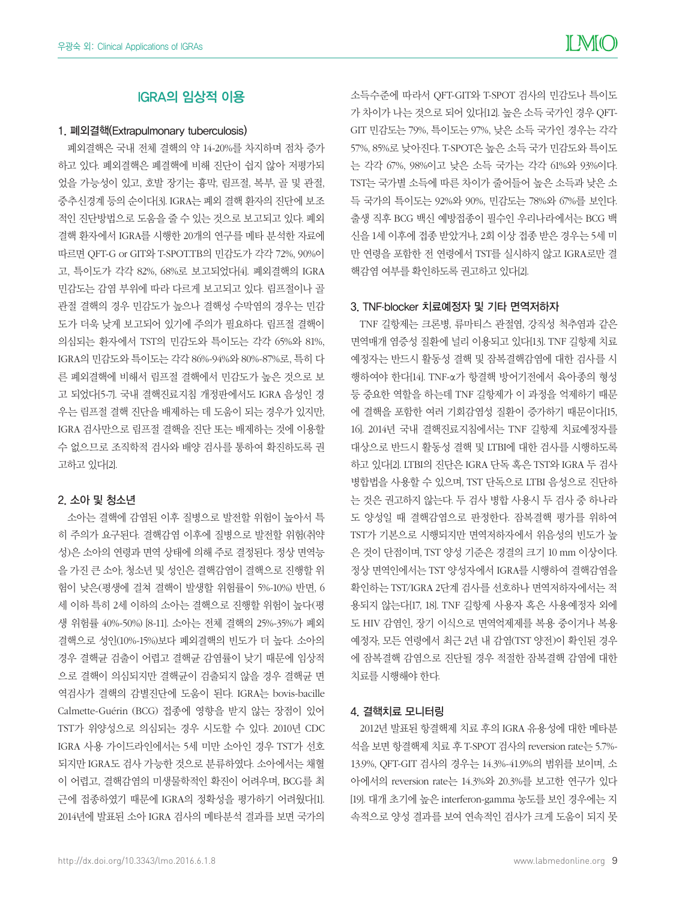# IGRA의 임상적 이용

#### 1. 폐외결핵(Extrapulmonary tuberculosis)

폐외결핵은 국내 전체 결핵의 약 14-20%를 차지하며 점차 증가 하고 있다. 폐외결핵은 폐결핵에 비해 진단이 쉽지 않아 저평가되 었을 가능성이 있고, 호발 장기는 흉막, 림프절, 복부, 골 및 관절, 중추신경계 등의 순이다[3]. IGRA는 폐외 결핵 환자의 진단에 보조 적인 진단방법으로 도움을 줄 수 있는 것으로 보고되고 있다. 폐외 결핵 환자에서 IGRA를 시행한 20개의 연구를 메타 분석한 자료에 따르면 QFT-G or GIT와 T-SPOT.TB의 민감도가 각각 72%, 90%이 고, 특이도가 각각 82%, 68%로 보고되었다[4]. 폐외결핵의 IGRA 민감도는 감염 부위에 따라 다르게 보고되고 있다. 림프절이나 골 관절 결핵의 경우 민감도가 높으나 결핵성 수막염의 경우는 민감 도가 더욱 낮게 보고되어 있기에 주의가 필요하다. 림프절 결핵이 의심되는 환자에서 TST의 민감도와 특이도는 각각 65%와 81%, IGRA의 민감도와 특이도는 각각 86%-94%와 80%-87%로, 특히 다 른 폐외결핵에 비해서 림프절 결핵에서 민감도가 높은 것으로 보 고 되었다[5-7]. 국내 결핵진료지침 개정판에서도 IGRA 음성인 경 우는 림프절 결핵 진단을 배제하는 데 도움이 되는 경우가 있지만, IGRA 검사만으로 림프절 결핵을 진단 또는 배제하는 것에 이용할 수 없으므로 조직학적 검사와 배양 검사를 통하여 확진하도록 권 고하고 있다[2].

#### 2. 소아 및 청소년

소아는 결핵에 감염된 이후 질병으로 발전할 위험이 높아서 특 히 주의가 요구된다. 결핵감염 이후에 질병으로 발전할 위험(취약 성)은 소아의 연령과 면역 상태에 의해 주로 결정된다. 정상 면역능 을 가진 큰 소아, 청소년 및 성인은 결핵감염이 결핵으로 진행할 위 험이 낮은(평생에 걸쳐 결핵이 발생할 위험률이 5%-10%) 반면, 6 세 이하 특히 2세 이하의 소아는 결핵으로 진행할 위험이 높다(평 생 위험률 40%-50%) [8-11]. 소아는 전체 결핵의 25%-35%가 폐외 결핵으로 성인(10%-15%)보다 폐외결핵의 빈도가 더 높다. 소아의 경우 결핵균 검출이 어렵고 결핵균 감염률이 낮기 때문에 임상적 으로 결핵이 의심되지만 결핵균이 검출되지 않을 경우 결핵균 면 역검사가 결핵의 감별진단에 도움이 된다. IGRA는 bovis-bacille Calmette-Guérin (BCG) 접종에 영향을 받지 않는 장점이 있어 TST가 위양성으로 의심되는 경우 시도할 수 있다. 2010년 CDC IGRA 사용 가이드라인에서는 5세 미만 소아인 경우 TST가 선호 되지만 IGRA도 검사 가능한 것으로 분류하였다. 소아에서는 채혈 이 어렵고, 결핵감염의 미생물학적인 확진이 어려우며, BCG를 최 근에 접종하였기 때문에 IGRA의 정확성을 평가하기 어려웠다[1]. 2014년에 발표된 소아 IGRA 검사의 메타분석 결과를 보면 국가의

소득수준에 따라서 QFT-GIT와 T-SPOT 검사의 민감도나 특이도 가 차이가 나는 것으로 되어 있다[12]. 높은 소득 국가인 경우 QFT-GIT 민감도는 79%, 특이도는 97%, 낮은 소득 국가인 경우는 각각 57%, 85%로 낮아진다. T-SPOT은 높은 소득 국가 민감도와 특이도 는 각각 67%, 98%이고 낮은 소득 국가는 각각 61%와 93%이다. TST는 국가별 소득에 따른 차이가 줄어들어 높은 소득과 낮은 소 득 국가의 특이도는 92%와 90%, 민감도는 78%와 67%를 보인다. 출생 직후 BCG 백신 예방접종이 필수인 우리나라에서는 BCG 백 신을 1세 이후에 접종 받았거나, 2회 이상 접종 받은 경우는 5세 미 만 연령을 포함한 전 연령에서 TST를 실시하지 않고 IGRA로만 결 핵감염 여부를 확인하도록 권고하고 있다[2].

#### 3. TNF-blocker 치료예정자 및 기타 면역저하자

TNF 길항제는 크론병, 류마티스 관절염, 강직성 척추염과 같은 면역매개 염증성 질환에 널리 이용되고 있다[13]. TNF 길항제 치료 예정자는 반드시 활동성 결핵 및 잠복결핵감염에 대한 검사를 시 행하여야 한다[14]. TNF-α가 항결핵 방어기전에서 육아종의 형성 등 중요한 역할을 하는데 TNF 길항제가 이 과정을 억제하기 때문 에 결핵을 포함한 여러 기회감염성 질환이 증가하기 때문이다[15, 16]. 2014년 국내 결핵진료지침에서는 TNF 길항제 치료예정자를 대상으로 반드시 활동성 결핵 및 LTBI에 대한 검사를 시행하도록 하고 있다[2]. LTBI의 진단은 IGRA 단독 혹은 TST와 IGRA 두 검사 병합법을 사용할 수 있으며, TST 단독으로 LTBI 음성으로 진단하 는 것은 권고하지 않는다. 두 검사 병합 사용시 두 검사 중 하나라 도 양성일 때 결핵감염으로 판정한다. 잠복결핵 평가를 위하여 TST가 기본으로 시행되지만 면역저하자에서 위음성의 빈도가 높 은 것이 단점이며, TST 양성 기준은 경결의 크기 10 mm 이상이다. 정상 면역인에서는 TST 양성자에서 IGRA를 시행하여 결핵감염을 확인하는 TST/IGRA 2단계 검사를 선호하나 면역저하자에서는 적 용되지 않는다[17, 18]. TNF 길항제 사용자 혹은 사용예정자 외에 도 HIV 감염인, 장기 이식으로 면역억제제를 복용 중이거나 복용 예정자, 모든 연령에서 최근 2년 내 감염(TST 양전)이 확인된 경우 에 잠복결핵 감염으로 진단될 경우 적절한 잠복결핵 감염에 대한 치료를 시행해야 한다.

#### 4. 결핵치료 모니터링

2012년 발표된 항결핵제 치료 후의 IGRA 유용성에 대한 메타분 석을 보면 항결핵제 치료 후 T-SPOT 검사의 reversion rate는 5.7%- 13.9%, QFT-GIT 검사의 경우는 14.3%-41.9%의 범위를 보이며, 소 아에서의 reversion rate는 14.3%와 20.3%를 보고한 연구가 있다 [19]. 대개 초기에 높은 interferon-gamma 농도를 보인 경우에는 지 속적으로 양성 결과를 보여 연속적인 검사가 크게 도움이 되지 못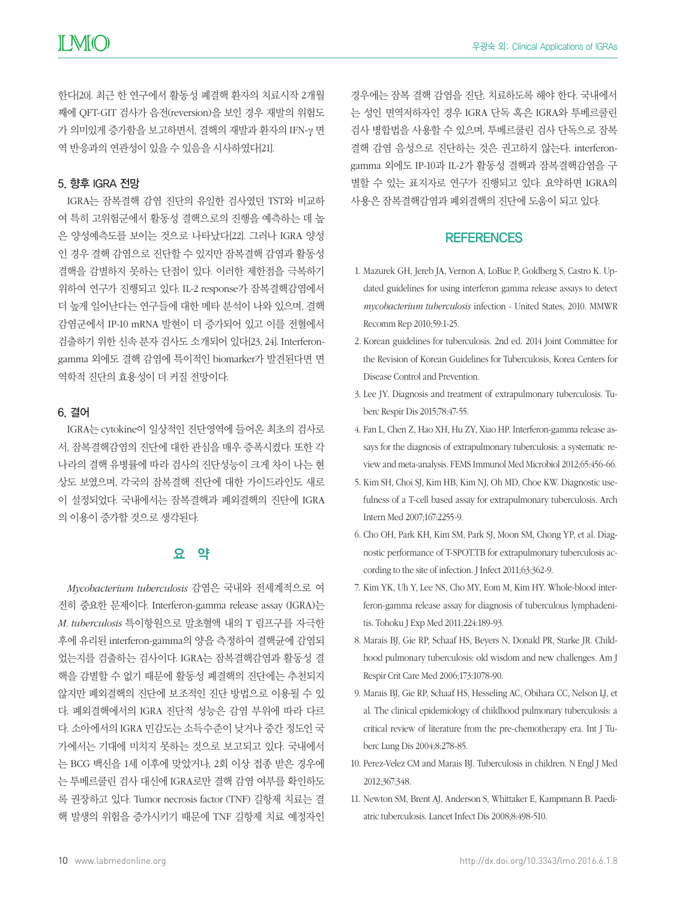한다[20]. 최근 한 연구에서 활동성 폐결핵 환자의 치료시작 2개월 째에 QFT-GIT 검사가 음전(reversion)을 보인 경우 재발의 위험도 가 의미있게 증가함을 보고하면서, 결핵의 재발과 환자의 IFN-γ 면 역 반응과의 연관성이 있을 수 있음을 시사하였다[21].

#### 5. 향후 IGRA 전망

IGRA는 잠복결핵 감염 진단의 유일한 검사였던 TST와 비교하 여 특히 고위험군에서 활동성 결핵으로의 진행을 예측하는 데 높 은 양성예측도를 보이는 것으로 나타났다[22]. 그러나 IGRA 양성 인 경우 결핵 감염으로 진단할 수 있지만 잠복결핵 감염과 활동성 결핵을 감별하지 못하는 단점이 있다. 이러한 제한점을 극복하기 위하여 연구가 진행되고 있다. IL-2 response가 잠복결핵감염에서 더 높게 일어난다는 연구들에 대한 메타 분석이 나와 있으며, 결핵 감염군에서 IP-10 mRNA 발현이 더 증가되어 있고 이를 전혈에서 검출하기 위한 신속 분자 검사도 소개되어 있다[23, 24]. Interferongamma 외에도 결핵 감염에 특이적인 biomarker가 발견된다면 면 역학적 진단의 효용성이 더 커질 전망이다.

#### 6. 결어

IGRA는 cytokine이 일상적인 진단영역에 들어온 최초의 검사로 서, 잠복결핵감염의 진단에 대한 관심을 매우 증폭시켰다. 또한 각 나라의 결핵 유병률에 따라 검사의 진단성능이 크게 차이 나는 현 상도 보였으며, 각국의 잠복결핵 진단에 대한 가이드라인도 새로 이 설정되었다. 국내에서는 잠복결핵과 폐외결핵의 진단에 IGRA 의 이용이 증가할 것으로 생각된다.

## 요 약

*Mycobacterium tuberculosis* 감염은 국내와 전세계적으로 여 전히 중요한 문제이다. Interferon-gamma release assay (IGRA)는 *M. tuberculosis* 특이항원으로 말초혈액 내의 T 림프구를 자극한 후에 유리된 interferon-gamma의 양을 측정하여 결핵균에 감염되 었는지를 검출하는 검사이다. IGRA는 잠복결핵감염과 활동성 결 핵을 감별할 수 없기 때문에 활동성 폐결핵의 진단에는 추천되지 않지만 폐외결핵의 진단에 보조적인 진단 방법으로 이용될 수 있 다. 폐외결핵에서의 IGRA 진단적 성능은 감염 부위에 따라 다르 다. 소아에서의 IGRA 민감도는 소득수준이 낮거나 중간 정도인 국 가에서는 기대에 미치지 못하는 것으로 보고되고 있다. 국내에서 는 BCG 백신을 1세 이후에 맞았거나, 2회 이상 접종 받은 경우에 는 투베르쿨린 검사 대신에 IGRA로만 결핵 감염 여부를 확인하도 록 권장하고 있다. Tumor necrosis factor (TNF) 길항제 치료는 결 핵 발생의 위험을 증가시키기 때문에 TNF 길항제 치료 예정자인

경우에는 잠복 결핵 감염을 진단, 치료하도록 해야 한다. 국내에서 는 성인 면역저하자인 경우 IGRA 단독 혹은 IGRA와 투베르쿨린 검사 병합법을 사용할 수 있으며, 투베르쿨린 검사 단독으로 잠복 결핵 감염 음성으로 진단하는 것은 권고하지 않는다. interferongamma 외에도 IP-10과 IL-2가 활동성 결핵과 잠복결핵감염을 구 별할 수 있는 표지자로 연구가 진행되고 있다. 요약하면 IGRA의 사용은 잠복결핵감염과 폐외결핵의 진단에 도움이 되고 있다.

## **REFERENCES**

- 1. Mazurek GH, Jereb JA, Vernon A, LoBue P, Goldberg S, Castro K. Updated guidelines for using interferon gamma release assays to detect *mycobacterium tuberculosis* infection - United States, 2010. MMWR Recomm Rep 2010;59:1-25.
- 2. Korean guidelines for tuberculosis. 2nd ed. 2014 Joint Committee for the Revision of Korean Guidelines for Tuberculosis, Korea Centers for Disease Control and Prevention.
- 3. Lee JY. Diagnosis and treatment of extrapulmonary tuberculosis. Tuberc Respir Dis 2015;78:47-55.
- 4. Fan L, Chen Z, Hao XH, Hu ZY, Xiao HP. Interferon-gamma release assays for the diagnosis of extrapulmonary tuberculosis: a systematic review and meta-analysis. FEMS Immunol Med Microbiol 2012;65:456-66.
- 5. Kim SH, Choi SJ, Kim HB, Kim NJ, Oh MD, Choe KW. Diagnostic usefulness of a T-cell based assay for extrapulmonary tuberculosis. Arch Intern Med 2007;167:2255-9.
- 6. Cho OH, Park KH, Kim SM, Park SJ, Moon SM, Chong YP, et al. Diagnostic performance of T-SPOT.TB for extrapulmonary tuberculosis according to the site of infection. J Infect 2011;63:362-9.
- 7. Kim YK, Uh Y, Lee NS, Cho MY, Eom M, Kim HY. Whole-blood interferon-gamma release assay for diagnosis of tuberculous lymphadenitis. Tohoku J Exp Med 2011;224:189-93.
- 8. Marais BJ, Gie RP, Schaaf HS, Beyers N, Donald PR, Starke JR. Childhood pulmonary tuberculosis: old wisdom and new challenges. Am J Respir Crit Care Med 2006;173:1078-90.
- 9. Marais BJ, Gie RP, Schaaf HS, Hesseling AC, Obihara CC, Nelson LJ, et al. The clinical epidemiology of childhood pulmonary tuberculosis: a critical review of literature from the pre-chemotherapy era. Int J Tuberc Lung Dis 2004;8:278-85.
- 10. Perez-Velez CM and Marais BJ. Tuberculosis in children. N Engl J Med 2012;367:348.
- 11. Newton SM, Brent AJ, Anderson S, Whittaker E, Kampmann B. Paediatric tuberculosis. Lancet Infect Dis 2008;8:498-510.